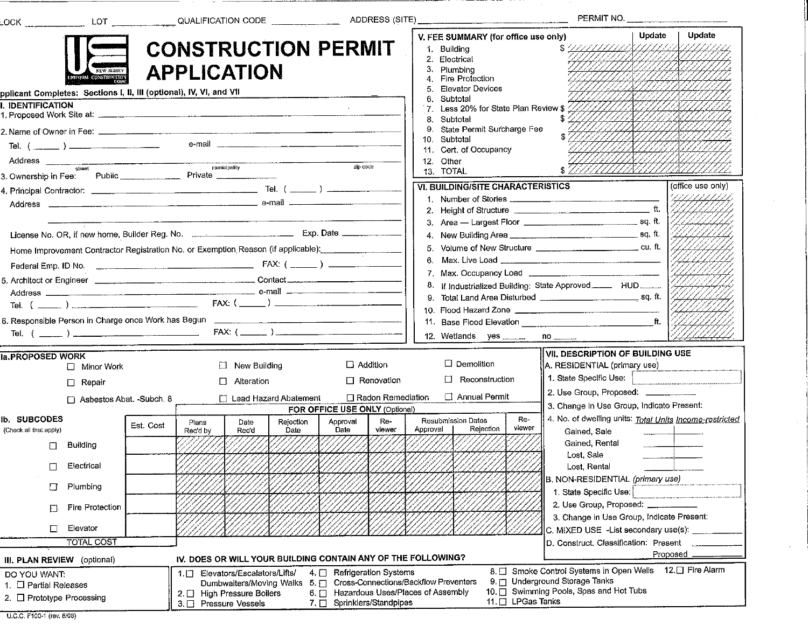|                                                                                                                                                                                                                                                                                      | $\begin{bmatrix} \text{Lock} \end{bmatrix}$ $\begin{bmatrix} \text{LOT} \end{bmatrix}$ $\begin{bmatrix} \text{QUALIFICATION CODE} \end{bmatrix}$ $\begin{bmatrix} \text{ADDRESS (SITE)} \end{bmatrix}$ |                                                                                                                                                                                                                                                                                           |                                                             |               |                   |                                                                                                                                                         |                                                                                                                                                                                                                                                            |                                                                                                                                                                                                                                                                                                                   | <b>PERMIT NO.</b> __________                                                                                                    |               |                                                                                           |  |  |  |
|--------------------------------------------------------------------------------------------------------------------------------------------------------------------------------------------------------------------------------------------------------------------------------------|--------------------------------------------------------------------------------------------------------------------------------------------------------------------------------------------------------|-------------------------------------------------------------------------------------------------------------------------------------------------------------------------------------------------------------------------------------------------------------------------------------------|-------------------------------------------------------------|---------------|-------------------|---------------------------------------------------------------------------------------------------------------------------------------------------------|------------------------------------------------------------------------------------------------------------------------------------------------------------------------------------------------------------------------------------------------------------|-------------------------------------------------------------------------------------------------------------------------------------------------------------------------------------------------------------------------------------------------------------------------------------------------------------------|---------------------------------------------------------------------------------------------------------------------------------|---------------|-------------------------------------------------------------------------------------------|--|--|--|
| pplicant Completes: Sections I, II, III (optional), IV, VI, and VII<br>. IDENTIFICATION                                                                                                                                                                                              |                                                                                                                                                                                                        |                                                                                                                                                                                                                                                                                           | <b>CONSTRUCTION PERMIT</b><br><b>APPLICATION</b>            |               |                   |                                                                                                                                                         |                                                                                                                                                                                                                                                            | 1. Building<br>2. Electrical<br>З.<br>6. Subtotal<br>8. Subtotal                                                                                                                                                                                                                                                  | V. FEE SUMMARY (for office use only)<br>Plumbing<br>Fire Protection<br>Elevator Devices<br>7. Less 20% for State Plan Review \$ |               | <b>Update</b><br>Update                                                                   |  |  |  |
| Tel. $(\begin{array}{ccc} 1 & 1 \end{array})$<br>zip code                                                                                                                                                                                                                            |                                                                                                                                                                                                        |                                                                                                                                                                                                                                                                                           |                                                             |               |                   |                                                                                                                                                         |                                                                                                                                                                                                                                                            |                                                                                                                                                                                                                                                                                                                   | 9. State Permit Surcharge Fee<br>10. Subtotal<br>11. Cert. of Occupancy<br>12. Other<br>13. TOTAL                               |               |                                                                                           |  |  |  |
| Public Public Private<br>3. Ownership in Fee:<br>Address                                                                                                                                                                                                                             |                                                                                                                                                                                                        |                                                                                                                                                                                                                                                                                           |                                                             |               |                   |                                                                                                                                                         |                                                                                                                                                                                                                                                            | VI. BUILDING/SITE CHARACTERISTICS<br>(office use only)                                                                                                                                                                                                                                                            |                                                                                                                                 |               |                                                                                           |  |  |  |
| Home Improvement Contractor Registration No. or Exemption Reason (if applicable): __________________<br>6. Responsible Person in Charge once Work has Begun<br><u> 1980 - Jan Samuel Barbara, martin da shekara 1980 - Andrew Samuel Barbara, mashrida a shekara 1980 - Andrew S</u> |                                                                                                                                                                                                        |                                                                                                                                                                                                                                                                                           |                                                             |               |                   |                                                                                                                                                         |                                                                                                                                                                                                                                                            | 5. Volume of New Structure ________________________________ cu. ft.<br>6.<br>7. Max. Occupancy Load <b>contain the contract of the contract of the contract of the contract of the contract of the contract of the contract of the contract of the contract of the contract of the contract of the contract o</b> |                                                                                                                                 |               |                                                                                           |  |  |  |
| <b>Ia PROPOSED WORK</b><br>$\Box$ Addition<br>$\Box$ New Building<br>□ Minor Work<br>$\Box$ Renovation<br>Alteration<br>$\Box$ Repair                                                                                                                                                |                                                                                                                                                                                                        |                                                                                                                                                                                                                                                                                           |                                                             |               |                   | □ Radon Remediation                                                                                                                                     | 12. Wetlands yes _____<br>$no \qquad \qquad \qquad$<br>VII. DESCRIPTION OF BUILDING USE<br>$\Box$ Demolition<br>A. RESIDENTIAL (primary use)<br>1. State Specific Use:<br>$\Box$ Reconstruction<br>2. Use Group, Proposed: ____________<br>□ Annual Permit |                                                                                                                                                                                                                                                                                                                   |                                                                                                                                 |               |                                                                                           |  |  |  |
|                                                                                                                                                                                                                                                                                      | TT Asbestos Abat. - Subch. 8                                                                                                                                                                           |                                                                                                                                                                                                                                                                                           | [7] Lead Hazard Abatement<br>FOR OFFICE USE ONLY (Optional) |               |                   |                                                                                                                                                         |                                                                                                                                                                                                                                                            |                                                                                                                                                                                                                                                                                                                   |                                                                                                                                 |               | 3. Change in Use Group, Indicate Present:                                                 |  |  |  |
| Ib SUBCODES<br>(Check all that apply)<br>П                                                                                                                                                                                                                                           | Building                                                                                                                                                                                               | Est. Cost                                                                                                                                                                                                                                                                                 | Plans<br>Rec'd by                                           | Date<br>Rec'd | Rejection<br>Date | Approval<br>Date                                                                                                                                        | Re-<br>viewer                                                                                                                                                                                                                                              | Approval                                                                                                                                                                                                                                                                                                          | Resubmission Dates<br>Rejection                                                                                                 | Re-<br>viewer | 4. No. of dwelling units: Total Units Income-restricted<br>Gained, Sale<br>Gained, Rental |  |  |  |
| П                                                                                                                                                                                                                                                                                    | Electrical                                                                                                                                                                                             |                                                                                                                                                                                                                                                                                           |                                                             |               |                   |                                                                                                                                                         |                                                                                                                                                                                                                                                            |                                                                                                                                                                                                                                                                                                                   |                                                                                                                                 |               | Lost, Sale<br>Lost, Rental<br>B. NON-RESIDENTIAL (primary use)                            |  |  |  |
| n<br>Đ.                                                                                                                                                                                                                                                                              | Plumbing<br>Fire Protection                                                                                                                                                                            |                                                                                                                                                                                                                                                                                           |                                                             |               |                   |                                                                                                                                                         |                                                                                                                                                                                                                                                            |                                                                                                                                                                                                                                                                                                                   |                                                                                                                                 |               | 1. State Specific Use:<br>2. Use Group, Proposed: _                                       |  |  |  |
| □                                                                                                                                                                                                                                                                                    | Elevator<br>TOTAL COST                                                                                                                                                                                 |                                                                                                                                                                                                                                                                                           |                                                             |               |                   |                                                                                                                                                         |                                                                                                                                                                                                                                                            | 3. Change in Use Group, Indicate Present:<br>C. MIXED USE -List secondary use(s):<br>D. Construct. Classification: Present                                                                                                                                                                                        |                                                                                                                                 |               |                                                                                           |  |  |  |
| IV. DOES OR WILL YOUR BUILDING CONTAIN ANY OF THE FOLLOWING?<br>III. PLAN REVIEW (optional)                                                                                                                                                                                          |                                                                                                                                                                                                        |                                                                                                                                                                                                                                                                                           |                                                             |               |                   |                                                                                                                                                         |                                                                                                                                                                                                                                                            |                                                                                                                                                                                                                                                                                                                   | Proposed                                                                                                                        |               |                                                                                           |  |  |  |
| DO YOU WANT:<br>1. <sup>[</sup> ] Partial Releases<br>2. □ Prototype Processing<br>U.C.C. F100-1 (rev. 8/08)                                                                                                                                                                         |                                                                                                                                                                                                        | 4. <sup>c</sup> l Refrigeration Systems<br>1. Flevators/Escalators/Lifts/<br>Dumbwaiters/Moving Walks 5. [ Cross-Connections/Backflow Preventers<br>Hazardous Uses/Places of Assembly<br>2. [ High Pressure Boilers<br>6. $\Box$<br>Sprinklers/Standpipes<br>3. Pressure Vessels<br>7. EL |                                                             |               |                   | 8. □ Smoke Control Systems in Open Wells 12. □ Fire Alarm<br>9. Underground Storage Tanks<br>10. Swimming Pools, Spas and Hot Tubs<br>11. □ LPGas Tanks |                                                                                                                                                                                                                                                            |                                                                                                                                                                                                                                                                                                                   |                                                                                                                                 |               |                                                                                           |  |  |  |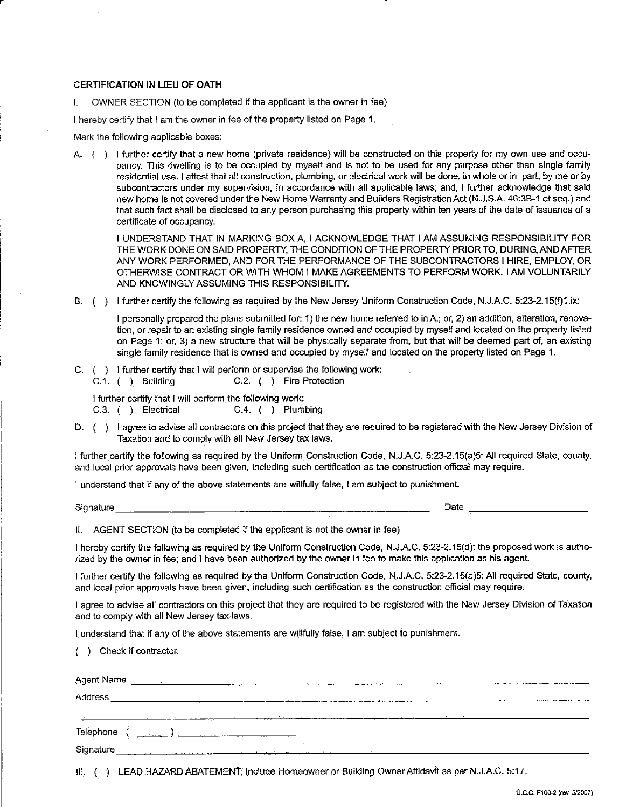## CERTIFICATION IN LIEU OF OATH

1. OWNER SECTION (to be completed if the applicant is the owner in fee)

I hereby certify that I am the owner in fee of the property listed on Page 4.

Mark the following applicable boxes:

A. ( ) I further certify that a new home (private residence) will be constructed on this property for my own use and occupancy. This dwelling is to be occupied by myself and is not to be used for any purpose other than single family residential use. I attest that all construction, plumbing, or electrical work will be done, in whole or in part, by me or by subcontractors under my supervision, in accordance with all applicable laws; and, I further acknowledge that said new home is not covered under the New Home Warranty and Builders Registration Act (N.J.S.A. 46:3B-1 et seq.) and that such fact shall be disclosed to any person purchasing this property within ten years of the date of issuance of a certificate of occupancy.

I UNDERSTAND THAT IN MARKING BOX A, I ACKNOWLEDGE THAT I AM ASSUMING RESPONSIBILITY FOR THE WORK DONE ON SAID PROPERTY, THE CONDITION OF THE PROPERTY PRIOR TO, DURING, AND AFTER ANY WORK PERFORMED, AND FOR THE PERFORMANCE OF THE SUBCONTRACTORS I HIRE, EMPLOY, OR OTHERWISE CONTRACT OR WITH WHOM I MAKE AGREEMENTS TO PERFORM WORK. IAM VOLUNTARILY AND KNOWINGLY ASSUMING THIS RESPONSIBILITY

B. ( ) I further certify the following as required by the New Jersey Uniform Construction Code, N.J.A.C. 5:23-2.15(f)1.ix:

I personally prepared the plans submitted for: 1) the new home referred to in A.; or, 2) an addition, alteration, renovation, or repair to an existing single family residence owned and occupied by myself and located on the property listed on Page 1; or, 3) a new structure that will be physically separate from, but that will be deemed part of, an existing single family residence that is owned and occupied by myself and located on the property listed on Page 4.

C. ( ) I further certify that I will perform or supervise the following work: C.1. ( ) Building C.2. ( ) Fire Protection

I further certify that I will perform the following work:

C.3. ( ) Electrical C.4. ( ) Plumbing

D. ( ) I agree to advise all contractors on this project that they are required to be registered with the New Jersey Division of Taxation and to comply with all New Jersey tax laws.

I further certify the following as required by the Uniform Construction Code, N.J.A.C. 5:23-2.15(a)5: All required State, county, and local prior approvals have been given, including such certification as the construction official may require.

I understand that if any of the above statements are willfully false, I am subject to punishment.

Signature **Date** 

II. AGENT SECTION (to be completed if the applicant is not the owner in fee)

I hereby certify the following as required by the Uniform Construction Code, N.J.A.C. 5:23-2.15(d): the proposed work is authorized by the owner in fee; and I have been authorized by the owner in fee to make this application as his agent.

I further certify the following as required by the Uniform Construction Code, N.J.A.C. 5:23-2.15(a)5: All required State, county, and local prior approvals have been given, including such certification as the construction official may require.

I agree to advise all contractors on this project that they are required to be registered with the New Jersey Division of Taxation and to comply with all New Jersey tax laws.

I understand that if any of the above statements are willfully false, I am subject to punishment.

( ) Check if contractor.

| Agent Name                                                                                                                                                                                                                           |  |  |
|--------------------------------------------------------------------------------------------------------------------------------------------------------------------------------------------------------------------------------------|--|--|
|                                                                                                                                                                                                                                      |  |  |
| <u> 1950 - John Harrison, mars and de la partie de la partie de la partie de la partie de la partie de la partie de la partie de la partie de la partie de la partie de la partie de la partie de la partie de la partie de la p</u> |  |  |
|                                                                                                                                                                                                                                      |  |  |
| Signature Signature Communication of the Communication of the Communication of the Communication of the Communication of the Communication of the Communication of the Communication of the Communication of the Communication       |  |  |
|                                                                                                                                                                                                                                      |  |  |

III. ( ) LEAD HAZARD ABATEMENT; include Homeowner or Building Owner Affidavit as per N.J.A.C. 5:17.